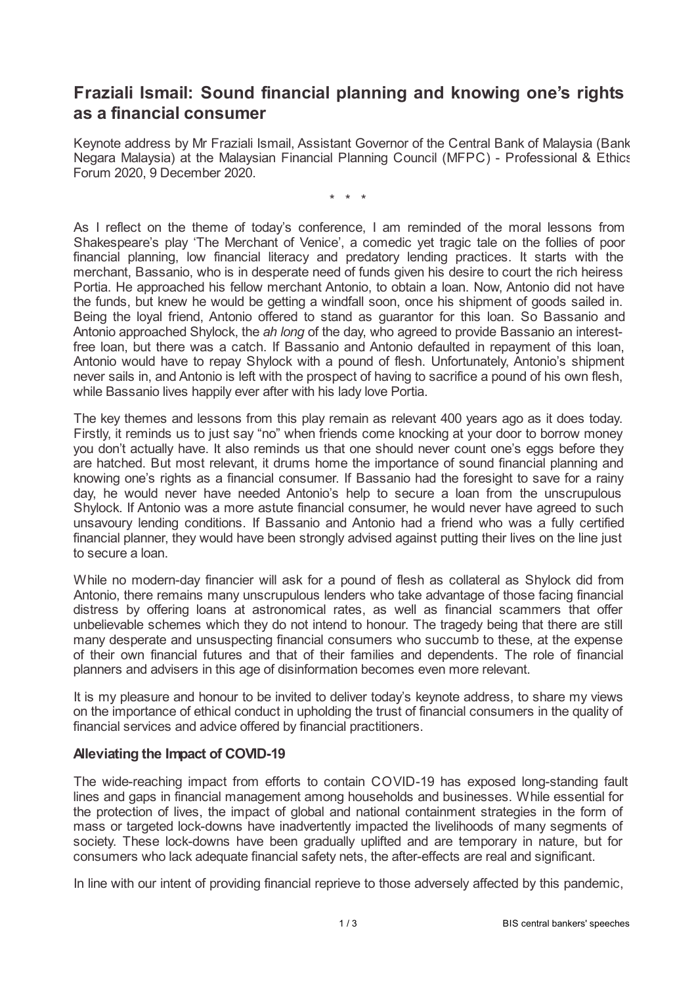## **Fraziali Ismail: Sound financial planning and knowing one's rights as a financial consumer**

Keynote address by Mr Fraziali Ismail, Assistant Governor of the Central Bank of Malaysia (Bank Negara Malaysia) at the Malaysian Financial Planning Council (MFPC) - Professional & Ethics Forum 2020, 9 December 2020.

\* \* \*

As I reflect on the theme of today's conference, I am reminded of the moral lessons from Shakespeare's play 'The Merchant of Venice', a comedic yet tragic tale on the follies of poor financial planning, low financial literacy and predatory lending practices. It starts with the merchant, Bassanio, who is in desperate need of funds given his desire to court the rich heiress Portia. He approached his fellow merchant Antonio, to obtain a loan. Now, Antonio did not have the funds, but knew he would be getting a windfall soon, once his shipment of goods sailed in. Being the loyal friend, Antonio offered to stand as guarantor for this loan. So Bassanio and Antonio approached Shylock, the *ah long* of the day, who agreed to provide Bassanio an interestfree loan, but there was a catch. If Bassanio and Antonio defaulted in repayment of this loan, Antonio would have to repay Shylock with a pound of flesh. Unfortunately, Antonio's shipment never sails in, and Antonio is left with the prospect of having to sacrifice a pound of his own flesh, while Bassanio lives happily ever after with his lady love Portia.

The key themes and lessons from this play remain as relevant 400 years ago as it does today. Firstly, it reminds us to just say "no" when friends come knocking at your door to borrow money you don't actually have. It also reminds us that one should never count one's eggs before they are hatched. But most relevant, it drums home the importance of sound financial planning and knowing one's rights as a financial consumer. If Bassanio had the foresight to save for a rainy day, he would never have needed Antonio's help to secure a loan from the unscrupulous Shylock. If Antonio was a more astute financial consumer, he would never have agreed to such unsavoury lending conditions. If Bassanio and Antonio had a friend who was a fully certified financial planner, they would have been strongly advised against putting their lives on the line just to secure a loan.

While no modern-day financier will ask for a pound of flesh as collateral as Shylock did from Antonio, there remains many unscrupulous lenders who take advantage of those facing financial distress by offering loans at astronomical rates, as well as financial scammers that offer unbelievable schemes which they do not intend to honour. The tragedy being that there are still many desperate and unsuspecting financial consumers who succumb to these, at the expense of their own financial futures and that of their families and dependents. The role of financial planners and advisers in this age of disinformation becomes even more relevant.

It is my pleasure and honour to be invited to deliver today's keynote address, to share my views on the importance of ethical conduct in upholding the trust of financial consumers in the quality of financial services and advice offered by financial practitioners.

## **Alleviating the Impact of COVID-19**

The wide-reaching impact from efforts to contain COVID-19 has exposed long-standing fault lines and gaps in financial management among households and businesses. While essential for the protection of lives, the impact of global and national containment strategies in the form of mass or targeted lock-downs have inadvertently impacted the livelihoods of many segments of society. These lock-downs have been gradually uplifted and are temporary in nature, but for consumers who lack adequate financial safety nets, the after-effects are real and significant.

In line with our intent of providing financial reprieve to those adversely affected by this pandemic,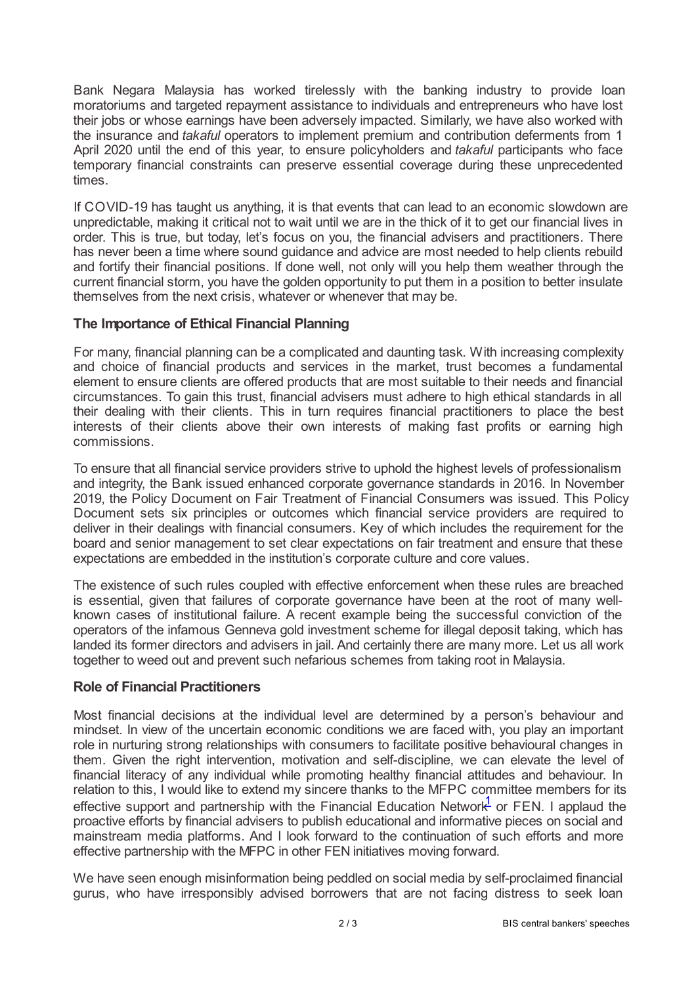Bank Negara Malaysia has worked tirelessly with the banking industry to provide loan moratoriums and targeted repayment assistance to individuals and entrepreneurs who have lost their jobs or whose earnings have been adversely impacted. Similarly, we have also worked with the insurance and *takaful* operators to implement premium and contribution deferments from 1 April 2020 until the end of this year, to ensure policyholders and *takaful* participants who face temporary financial constraints can preserve essential coverage during these unprecedented times.

If COVID-19 has taught us anything, it is that events that can lead to an economic slowdown are unpredictable, making it critical not to wait until we are in the thick of it to get our financial lives in order. This is true, but today, let's focus on you, the financial advisers and practitioners. There has never been a time where sound guidance and advice are most needed to help clients rebuild and fortify their financial positions. If done well, not only will you help them weather through the current financial storm, you have the golden opportunity to put them in a position to better insulate themselves from the next crisis, whatever or whenever that may be.

## **The Importance of Ethical Financial Planning**

For many, financial planning can be a complicated and daunting task. With increasing complexity and choice of financial products and services in the market, trust becomes a fundamental element to ensure clients are offered products that are most suitable to their needs and financial circumstances. To gain this trust, financial advisers must adhere to high ethical standards in all their dealing with their clients. This in turn requires financial practitioners to place the best interests of their clients above their own interests of making fast profits or earning high commissions.

To ensure that all financial service providers strive to uphold the highest levels of professionalism and integrity, the Bank issued enhanced corporate governance standards in 2016. In November 2019, the Policy Document on Fair Treatment of Financial Consumers was issued. This Policy Document sets six principles or outcomes which financial service providers are required to deliver in their dealings with financial consumers. Key of which includes the requirement for the board and senior management to set clear expectations on fair treatment and ensure that these expectations are embedded in the institution's corporate culture and core values.

The existence of such rules coupled with effective enforcement when these rules are breached is essential, given that failures of corporate governance have been at the root of many wellknown cases of institutional failure. A recent example being the successful conviction of the operators of the infamous Genneva gold investment scheme for illegal deposit taking, which has landed its former directors and advisers in jail. And certainly there are many more. Let us all work together to weed out and prevent such nefarious schemes from taking root in Malaysia.

## **Role of Financial Practitioners**

Most financial decisions at the individual level are determined by a person's behaviour and mindset. In view of the uncertain economic conditions we are faced with, you play an important role in nurturing strong relationships with consumers to facilitate positive behavioural changes in them. Given the right intervention, motivation and self-discipline, we can elevate the level of financial literacy of any individual while promoting healthy financial attitudes and behaviour. In relation to this, I would like to extend my sincere thanks to the MFPC committee members for its effective support and partnership with the Financial Education Network $\frac{1}{2}$  $\frac{1}{2}$  $\frac{1}{2}$  or FEN. I applaud the proactive efforts by financial advisers to publish educational and informative pieces on social and mainstream media platforms. And I look forward to the continuation of such efforts and more effective partnership with the MFPC in other FEN initiatives moving forward.

<span id="page-1-0"></span>We have seen enough misinformation being peddled on social media by self-proclaimed financial gurus, who have irresponsibly advised borrowers that are not facing distress to seek loan